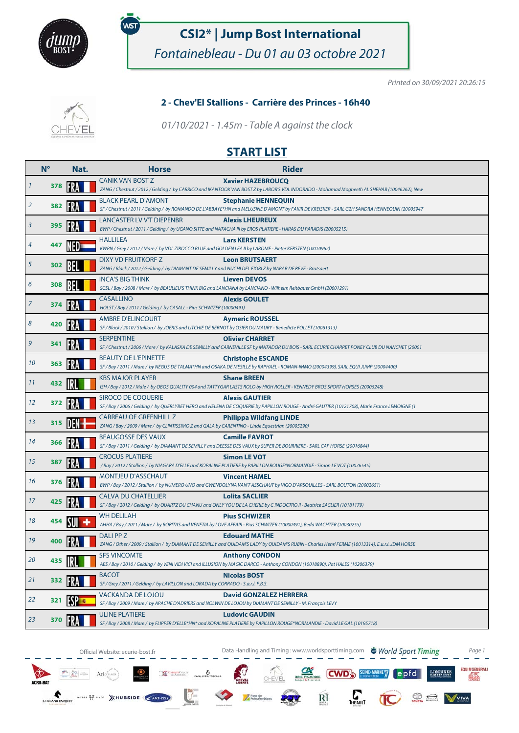

# .<br>WST

## **CSI2\* | Jump Bost International**

Fontainebleau - Du 01 au 03 octobre 2021

Printed on 30/09/2021 20:26:15

#### **2 - Chev'El Stallions - Carrière des Princes - 16h40**

01/10/2021 - 1.45m - Table A against the clock

## **START LIST**

|    | $N^{\circ}$ | Nat. | <b>Horse</b>                                                                                                                        | <b>Rider</b>                                                                                                                                                             |
|----|-------------|------|-------------------------------------------------------------------------------------------------------------------------------------|--------------------------------------------------------------------------------------------------------------------------------------------------------------------------|
| 1  | 378         |      | <b>CANIK VAN BOST Z</b>                                                                                                             | <b>Xavier HAZEBROUCQ</b><br>ZANG / Chestnut / 2012 / Gelding / by CARRICO and IKANTOOK VAN BOST Z by LABOR'S VDL INDORADO - Mohamad Mogheeth AL SHEHAB (10046262), New   |
| 2  | 382         |      | <b>BLACK PEARL D'AMONT</b>                                                                                                          | <b>Stephanie HENNEQUIN</b><br>SF / Chestnut / 2011 / Gelding / by ROMANDO DE L'ABBAYE*HN and MELUSINE D'AMONT by FAKIR DE KREISKER - SARL G2H SANDRA HENNEQUIN (20005947 |
| 3  | 395         |      | LANCASTER LV V'T DIEPENBR                                                                                                           | <b>Alexis LHEUREUX</b><br>BWP / Chestnut / 2011 / Gelding / by UGANO SITTE and NATACHA III by EROS PLATIERE - HARAS DU PARADIS (20005215)                                |
| 4  | 447         |      | HALLILEA<br>KWPN / Grey / 2012 / Mare / by VDL ZIROCCO BLUE and GOLDEN LEA II by LAROME - Pieter KERSTEN (10010962)                 | <b>Lars KERSTEN</b>                                                                                                                                                      |
| 5  | 302         |      | DIXY VD FRUITKORF Z<br>ZANG / Black / 2012 / Gelding / by DIAMANT DE SEMILLY and NUCHI DEL FIORI Z by NABAB DE REVE - Brutsaert     | <b>Leon BRUTSAERT</b>                                                                                                                                                    |
| 6  | 308         |      | <b>INCA'S BIG THINK</b>                                                                                                             | <b>Lieven DEVOS</b><br>SCSL / Bay / 2008 / Mare / by BEAULIEU'S THINK BIG and LANCIANA by LANCIANO - Wilhelm Reitbauer GmbH (20001291)                                   |
| 7  | 374         |      | <b>CASALLINO</b><br>HOLST / Bay / 2011 / Gelding / by CASALL - Pius SCHWIZER (10000491)                                             | <b>Alexis GOULET</b>                                                                                                                                                     |
| 8  | 420         |      | AMBRE D'ELINCOURT<br>SF / Black / 2010 / Stallion / by JOERIS and LITCHIE DE BERNOT by OSIER DU MAURY - Benedicte FOLLET (10061313) | <b>Aymeric ROUSSEL</b>                                                                                                                                                   |
| 9  | 341         |      | <b>SERPENTINE</b>                                                                                                                   | <b>Olivier CHARRET</b><br>SF / Chestnut / 2006 / Mare / by KALASKA DE SEMILLY and CARNEVILLE SF by MATADOR DU BOIS - SARL ECURIE CHARRET PONEY CLUB DU NANCHET (20001    |
| 10 | 363         |      | <b>BEAUTY DE L'EPINETTE</b>                                                                                                         | <b>Christophe ESCANDE</b><br>SF / Bay / 2011 / Mare / by NEGUS DE TALMA*HN and OSAKA DE MESILLE by RAPHAEL - ROMAN-IMMO (20004399), SARL EQUI JUMP (20004400)            |
| 11 | 432         |      | <b>KBS MAJOR PLAYER</b>                                                                                                             | <b>Shane BREEN</b><br>ISH / Bay / 2012 / Male / by OBOS QUALITY 004 and TATTYGAR LASTS ROLO by HIGH ROLLER - KENNEDY BROS SPORT HORSES (20005248)                        |
| 12 | 372         |      | <b>SIROCO DE COQUERIE</b>                                                                                                           | <b>Alexis GAUTIER</b><br>SF / Bay / 2006 / Gelding / by QUERLYBET HERO and HELENA DE COQUERIE by PAPILLON ROUGE - André GAUTIER (10121708), Marie France LEMOIGNE (1     |
| 13 | 315         |      | CARREAU OF GREENHILL Z<br>ZANG / Bay / 2009 / Mare / by CLINTISSIMO Z and GALA by CARENTINO - Linde Equestrian (20005290)           | <b>Philippa Wildfang LINDE</b>                                                                                                                                           |
| 14 | 366         |      | BEAUGOSSE DES VAUX                                                                                                                  | <b>Camille FAVROT</b><br>SF / Bay / 2011 / Gelding / by DIAMANT DE SEMILLY and DEESSE DES VAUX by SUPER DE BOURRIERE - SARL CAP HORSE (20016844)                         |
| 15 | 387         |      | <b>CROCUS PLATIERE</b>                                                                                                              | <b>Simon LE VOT</b><br>/ Bay / 2012 / Stallion / by NIAGARA D'ELLE and KOPALINE PLATIERE by PAPILLON ROUGE*NORMANDIE - Simon LE VOT (10076545)                           |
| 16 | 376         |      | <b>MONTJEU D'ASSCHAUT</b>                                                                                                           | <b>Vincent HAMEL</b><br>BWP / Bay / 2012 / Stallion / by NUMERO UNO and GWENDOLYNA VAN'T ASSCHAUT by VIGO D'ARSOUILLES - SARL BOUTON (20002651)                          |
| 17 | 425         |      | <b>CALVA DU CHATELLIER</b>                                                                                                          | <b>Lolita SACLIER</b><br>SF / Bay / 2012 / Gelding / by QUARTZ DU CHANU and ONLY YOU DE LA CHERIE by C INDOCTRO II - Beatrice SACLIER (10181179)                         |
| 18 | 454         |      | <b>WH DELILAH</b>                                                                                                                   | <b>Pius SCHWIZER</b><br>AHHA / Bay / 2011 / Mare / by BORITAS and VENETIA by LOVE AFFAIR - Pius SCHWIZER (10000491), Beda WACHTER (10030255)                             |
| 19 | 400         |      | DALI PP Z                                                                                                                           | <b>Edouard MATHE</b><br>ZANG / Other / 2009 / Stallion / by DIAMANT DE SEMILLY and QUIDAM'S LADY by QUIDAM'S RUBIN - Charles Henri FERME (10013314), E.u.r.l. JDM HORSE  |
| 20 | 435         |      | <b>SFS VINCOMTE</b>                                                                                                                 | <b>Anthony CONDON</b><br>AES / Bay / 2010 / Gelding / by VENI VIDI VICI and ILLUSION by MAGIC DARCO - Anthony CONDON (10018890), Pat HALES (10206379)                    |
| 21 | 332         |      | <b>BACOT</b><br>SF / Grey / 2011 / Gelding / by LAVILLON and LORADA by CORRADO - S.a.r.l. F.B.S.                                    | <b>Nicolas BOST</b>                                                                                                                                                      |
| 22 | 321         |      | VACKANDA DE LOJOU<br>SF / Bay / 2009 / Mare / by APACHE D'ADRIERS and NOLWIN DE LOJOU by DIAMANT DE SEMILLY - M. François LEVY      | <b>David GONZALEZ HERRERA</b>                                                                                                                                            |
| 23 | 370         |      | <b>ULINE PLATIERE</b>                                                                                                               | <b>Ludovic GAUDIN</b><br>SF / Bay / 2008 / Mare / by FLIPPER D'ELLE*HN* and KOPALINE PLATIERE by PAPILLON ROUGE*NORMANDIE - David LE GAL (10195718)                      |

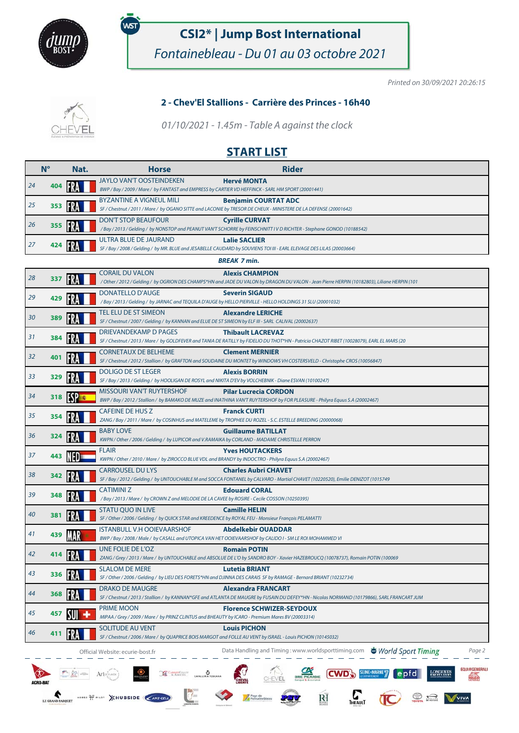

 $\begin{tabular}{|c|c|c|} \hline $\mathbb{Z}^n$ & $\mathbb{Z}^n$ & $\mathbb{Z}^n$ \\ \hline \end{tabular} \begin{tabular}{|c|c|c|} \hline $\mathbb{Z}^n$ & $A$rte<sub>mass}^{\phi^{\prime\prime}$ \\ \hline \end{tabular}</sub>$ 

LEGRANDPARQUET NORSE OF PILOT XHUBSIDE CAMI-GELD

.<br>WST

# **CSI2\* | Jump Bost International**

Fontainebleau - Du 01 au 03 octobre 2021

Printed on 30/09/2021 20:26:15

EQUI#GENERALI

LONGINES

**OR THE VIVA** 

#### **2 - Chev'El Stallions - Carrière des Princes - 16h40**

01/10/2021 - 1.45m - Table A against the clock

### **START LIST**

|    | $N^{\circ}$ | Nat.        | <b>Rider</b><br><b>Horse</b>                                                                                                                                                                       |
|----|-------------|-------------|----------------------------------------------------------------------------------------------------------------------------------------------------------------------------------------------------|
| 24 | 404         |             | <b>JAYLO VAN'T OOSTEINDEKEN</b><br><b>Hervé MONTA</b><br>BWP / Bay / 2009 / Mare / by FANTAST and EMPRESS by CARTIER VD HEFFINCK - SARL HM SPORT (20001441)                                        |
| 25 | 353         |             | BYZANTINE A VIGNEUL MILI<br><b>Benjamin COURTAT ADC</b><br>SF / Chestnut / 2011 / Mare / by OGANO SITTE and LACONIE by TRESOR DE CHEUX - MINISTERE DE LA DEFENSE (20001642)                        |
|    |             |             | <b>DON'T STOP BEAUFOUR</b><br><b>Cyrille CURVAT</b>                                                                                                                                                |
| 26 | 355         |             | /Bay / 2013 / Gelding / by NONSTOP and PEANUT VAN'T SCHORRE by FEINSCHNITT IV DRICHTER - Stephane GONOD (10188542)                                                                                 |
| 27 | 424         |             | ULTRA BLUE DE JAURAND<br><b>Lalie SACLIER</b><br>SF / Bay / 2008 / Gelding / by MR. BLUE and JESABELLE CAUDARD by SOUVIENS TOI III - EARL ELEVAGE DES LILAS (20003664)                             |
|    |             |             | <b>BREAK 7 min.</b>                                                                                                                                                                                |
|    |             |             | CORAIL DU VALON<br><b>Alexis CHAMPION</b>                                                                                                                                                          |
| 28 | 337         | IFR.        | / Other / 2012 / Gelding / by OGRION DES CHAMPS*HN and JADE DU VALON by DRAGON DU VALON - Jean Pierre HERPIN (10182803), Liliane HERPIN (101                                                       |
| 29 | 429         |             | DONATELLO D'AUGE<br><b>Severin SIGAUD</b>                                                                                                                                                          |
|    |             |             | /Bay / 2013 / Gelding / by JARNAC and TEQUILA D'AUGE by HELLO PIERVILLE - HELLO HOLDINGS 31 SLU (20001032)                                                                                         |
| 30 | 389         |             | TEL ELU DE ST SIMEON<br><b>Alexandre LERICHE</b><br>SF / Chestnut / 2007 / Gelding / by KANNAN and ELUE DE ST SIMEON by ELF III - SARL CALIVAL (20002637)                                          |
|    |             |             | DRIEVANDEKAMP D PAGES<br><b>Thibault LACREVAZ</b>                                                                                                                                                  |
| 31 | 384         |             | SF / Chestnut / 2013 / Mare / by GOLDFEVER and TANIA DE RATILLY by FIDELIO DU THOT*HN - Patricia CHAZOT RIBET (10028079), EARL EL MARS (20                                                         |
| 32 | 401         |             | CORNETAUX DE BELHEME<br><b>Clement MERNIER</b>                                                                                                                                                     |
|    |             |             | SF / Chestnut / 2012 / Stallion / by GRAFTON and SOUDAINE DU MONTET by WINDOWS VH COSTERSVELD - Christophe CROS (10056847)                                                                         |
| 33 | 329         |             | DOLIGO DE ST LEGER<br><b>Alexis BORRIN</b><br>SF / Bay / 2013 / Gelding / by HOOLIGAN DE ROSYL and NIKITA D'EV by VOLCHEBNIK - Diane ESVAN (10100247)                                              |
|    |             |             | <b>MISSOURI VAN'T RUYTERSHOF</b><br><b>Pilar Lucrecia CORDON</b>                                                                                                                                   |
| 34 | 318         | <b>ESPE</b> | BWP / Bay / 2012 / Stallion / by BAMAKO DE MUZE and INATHINA VAN'T RUYTERSHOF by FOR PLEASURE - Philyra Equus S.A (20002467)                                                                       |
| 35 | 354         |             | <b>CAFEINE DE HUS Z</b><br><b>Franck CURTI</b>                                                                                                                                                     |
|    |             |             | ZANG / Bay / 2011 / Mare / by COSINHUS and MATELEME by TROPHEE DU ROZEL - S.C. ESTELLE BREEDING (20000068)                                                                                         |
| 36 | 324         |             | <b>BABY LOVE</b><br><b>Guillaume BATILLAT</b><br>KWPN / Other / 2006 / Gelding / by LUPICOR and V.RAMAIKA by CORLAND - MADAME CHRISTELLE PERRON                                                    |
|    |             |             | <b>FLAIR</b><br><b>Yves HOUTACKERS</b>                                                                                                                                                             |
| 37 | 443         |             | KWPN / Other / 2010 / Mare / by ZIROCCO BLUE VDL and BRANDY by INDOCTRO - Philyra Equus S.A (20002467)                                                                                             |
| 38 | 342         |             | <b>CARROUSEL DU LYS</b><br><b>Charles Aubri CHAVET</b>                                                                                                                                             |
|    |             |             | SF / Bay / 2012 / Gelding / by UNTOUCHABLE M and SOCCA FONTANEL by CALVARO - Martial CHAVET (10220520), Emilie DENIZOT (1015749                                                                    |
| 39 | 348         |             | CATIMINI Z<br><b>Edouard CORAL</b><br>/ Bay / 2013 / Mare / by CROWN Z and MELODIE DE LA CAVEE by ROSIRE - Cecile COSSON (10250395)                                                                |
|    |             |             | <b>STATU QUO IN LIVE</b><br><b>Camille HELIN</b>                                                                                                                                                   |
| 40 | 381         |             | SF / Other / 2006 / Gelding / by QUICK STAR and KREEDENCE by ROYAL FEU - Monsieur François PELAMATTI                                                                                               |
| 41 | 439         |             | ISTANBULL V.H OOIEVAARSHOF<br><b>Abdelkebir OUADDAR</b>                                                                                                                                            |
|    |             |             | BWP / Bay / 2008 / Male / by CASALL and UTOPICA VAN HET OOIEVAARSHOF by CALIDO I - SM LE ROI MOHAMMED VI                                                                                           |
| 42 |             |             | UNE FOLIE DE L'OZ<br><b>Romain POTIN</b><br>ZANG / Grey / 2013 / Mare / by UNTOUCHABLE and ABSOLUE DE L'O by SANDRO BOY - Xavier HAZEBROUCQ (10078737), Romain POTIN (100069                       |
|    |             |             | <b>SLALOM DE MERE</b><br><b>Lutetia BRIANT</b>                                                                                                                                                     |
| 43 | 336         |             | SF / Other / 2006 / Gelding / by LIEU DES FORETS*HN and DJINNA DES CARAIS SF by RAMAGE - Bernard BRIANT (10232734)                                                                                 |
| 44 | 368         |             | <b>DRAKO DE MAUGRE</b><br><b>Alexandra FRANCART</b><br>SF / Chestnut / 2013 / Stallion / by KANNAN*GFE and ATLANTA DE MAUGRE by FUSAIN DU DEFEY*HN - Nicolas NORMAND (10179866), SARL FRANCART JUM |
|    |             |             | <b>PRIME MOON</b>                                                                                                                                                                                  |
| 45 | 457         |             | <b>Florence SCHWIZER-SEYDOUX</b><br>MIPAA / Grey / 2009 / Mare / by PRINZ CLINTUS and BHEAUTY by ICARO - Premium Mares BV (20003314)                                                               |
|    |             |             | SOLITUDE AU VENT<br><b>Louis PICHON</b>                                                                                                                                                            |
| 46 | 411         |             | SF / Chestnut / 2006 / Mare / by QUAPRICE BOIS MARGOT and FOLLE AU VENT by ISRAEL - Louis PICHON (10145032)                                                                                        |
|    |             |             | Data Handling and Timing: www.worldsporttiming.com World Sport Timing<br>Page 2<br>Official Website: ecurie-bost.fr                                                                                |
|    |             |             |                                                                                                                                                                                                    |

**CONDITION CONSIDERED TO A CONDITION OF A SEINE-MARNET COPY OF A SEINE-MARNET COPY OF A SEINE-MARNET COPY OF A SEINE-MARNET COPY OF A SEINE-MARNET COPY OF A SEINE-MARNET COPY OF A SEINE-MARNET COPY OF A SEINE-MARNET COPY O** 

for

 $\widetilde{{\rm RI}}$ 

Pays de<br>Fontainebleau

 $\sigma$ 

 $\sum_{\text{Theault}}$